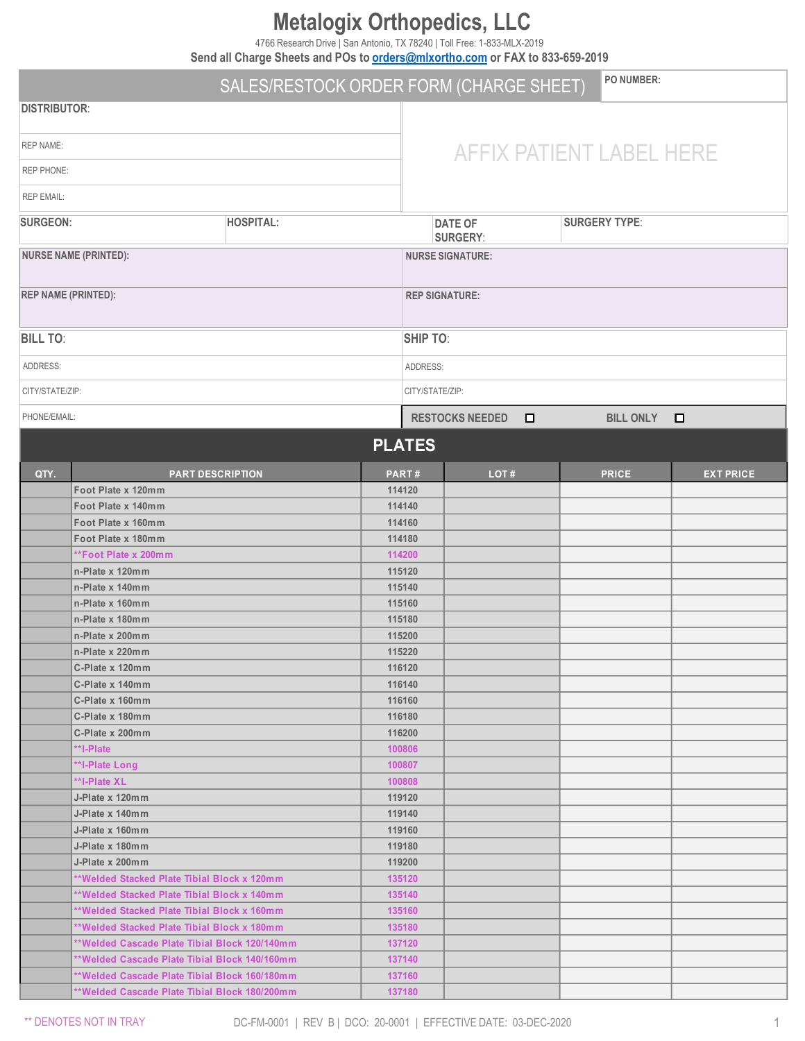# **Metalogix Orthopedics, LLC**

4766 Research Drive | San Antonio, TX 78240 | Toll Free: 1-833-MLX-2019

**Send all Charge Sheets and POs to [orders@mlxortho.com](mailto:orders@mlxortho.com) or FAX to 833-659-2019**

|                            |                                               | SALES/RESTOCK ORDER FORM (CHARGE SHEET) |                          | <b>PO NUMBER:</b>                                         |      |   |                    |                  |
|----------------------------|-----------------------------------------------|-----------------------------------------|--------------------------|-----------------------------------------------------------|------|---|--------------------|------------------|
| <b>DISTRIBUTOR:</b>        |                                               |                                         |                          |                                                           |      |   |                    |                  |
| <b>REP NAME:</b>           |                                               |                                         | AFFIX PATIENT LABEL HERE |                                                           |      |   |                    |                  |
| <b>REP PHONE:</b>          |                                               |                                         |                          |                                                           |      |   |                    |                  |
| <b>REP EMAIL:</b>          |                                               |                                         |                          |                                                           |      |   |                    |                  |
| <b>SURGEON:</b>            |                                               | <b>HOSPITAL:</b>                        |                          | <b>SURGERY TYPE:</b><br><b>DATE OF</b><br><b>SURGERY:</b> |      |   |                    |                  |
|                            | <b>NURSE NAME (PRINTED):</b>                  |                                         |                          | <b>NURSE SIGNATURE:</b>                                   |      |   |                    |                  |
| <b>REP NAME (PRINTED):</b> |                                               |                                         |                          | <b>REP SIGNATURE:</b>                                     |      |   |                    |                  |
| <b>BILL TO:</b>            |                                               |                                         |                          | <b>SHIP TO:</b>                                           |      |   |                    |                  |
| ADDRESS:                   |                                               |                                         |                          | ADDRESS:                                                  |      |   |                    |                  |
| CITY/STATE/ZIP:            |                                               |                                         |                          | CITY/STATE/ZIP:                                           |      |   |                    |                  |
| PHONE/EMAIL:               |                                               |                                         |                          | <b>RESTOCKS NEEDED</b>                                    |      | □ | BILL ONLY <b>D</b> |                  |
|                            |                                               |                                         |                          | <b>PLATES</b>                                             |      |   |                    |                  |
| QTY.                       | <b>PART DESCRIPTION</b>                       |                                         |                          | <b>PART#</b>                                              | LOT# |   | <b>PRICE</b>       | <b>EXT PRICE</b> |
|                            | Foot Plate x 120mm                            |                                         |                          | 114120                                                    |      |   |                    |                  |
|                            | Foot Plate x 140mm                            |                                         |                          | 114140                                                    |      |   |                    |                  |
|                            | Foot Plate x 160mm                            |                                         |                          | 114160                                                    |      |   |                    |                  |
|                            |                                               |                                         |                          | 114180                                                    |      |   |                    |                  |
|                            | Foot Plate x 180mm                            |                                         |                          |                                                           |      |   |                    |                  |
|                            | **Foot Plate x 200mm                          |                                         |                          | 114200                                                    |      |   |                    |                  |
|                            | n-Plate x 120mm                               |                                         |                          | 115120                                                    |      |   |                    |                  |
|                            | n-Plate x 140mm                               |                                         |                          | 115140                                                    |      |   |                    |                  |
|                            | n-Plate x 160mm<br>n-Plate x 180mm            |                                         |                          | 115160                                                    |      |   |                    |                  |
|                            |                                               |                                         |                          | 115180                                                    |      |   |                    |                  |
|                            | n-Plate x 200mm                               |                                         |                          | 115200                                                    |      |   |                    |                  |
|                            | n-Plate x 220mm                               |                                         |                          | 115220                                                    |      |   |                    |                  |
|                            | C-Plate x 120mm                               |                                         |                          | 116120                                                    |      |   |                    |                  |
|                            | C-Plate x 140mm                               |                                         |                          | 116140                                                    |      |   |                    |                  |
|                            | C-Plate x 160mm                               |                                         |                          | 116160                                                    |      |   |                    |                  |
|                            | C-Plate x 180mm                               |                                         |                          | 116180                                                    |      |   |                    |                  |
|                            | C-Plate x 200mm<br>**I-Plate                  |                                         |                          | 116200                                                    |      |   |                    |                  |
|                            |                                               |                                         |                          | 100806<br>100807                                          |      |   |                    |                  |
|                            | **I-Plate Long<br>**I-Plate XL                |                                         |                          | 100808                                                    |      |   |                    |                  |
|                            |                                               |                                         |                          | 119120                                                    |      |   |                    |                  |
|                            | J-Plate x 120mm                               |                                         |                          | 119140                                                    |      |   |                    |                  |
|                            | J-Plate x 140mm<br>J-Plate x 160mm            |                                         |                          | 119160                                                    |      |   |                    |                  |
|                            | J-Plate x 180mm                               |                                         |                          | 119180                                                    |      |   |                    |                  |
|                            | J-Plate x 200mm                               |                                         |                          | 119200                                                    |      |   |                    |                  |
|                            | **Welded Stacked Plate Tibial Block x 120mm   |                                         |                          | 135120                                                    |      |   |                    |                  |
|                            | **Welded Stacked Plate Tibial Block x 140mm   |                                         |                          | 135140                                                    |      |   |                    |                  |
|                            | **Welded Stacked Plate Tibial Block x 160mm   |                                         |                          | 135160                                                    |      |   |                    |                  |
|                            | **Welded Stacked Plate Tibial Block x 180mm   |                                         |                          | 135180                                                    |      |   |                    |                  |
|                            | **Welded Cascade Plate Tibial Block 120/140mm |                                         |                          | 137120                                                    |      |   |                    |                  |
|                            | **Welded Cascade Plate Tibial Block 140/160mm |                                         |                          | 137140                                                    |      |   |                    |                  |
|                            | **Welded Cascade Plate Tibial Block 160/180mm |                                         |                          | 137160                                                    |      |   |                    |                  |
|                            | **Welded Cascade Plate Tibial Block 180/200mm |                                         |                          | 137180                                                    |      |   |                    |                  |

\*\* DENOTES NOT IN TRAY

DC-FM-0001 | REV B | DCO: 20-0001 | EFFECTIVE DATE: 03-DEC-2020 1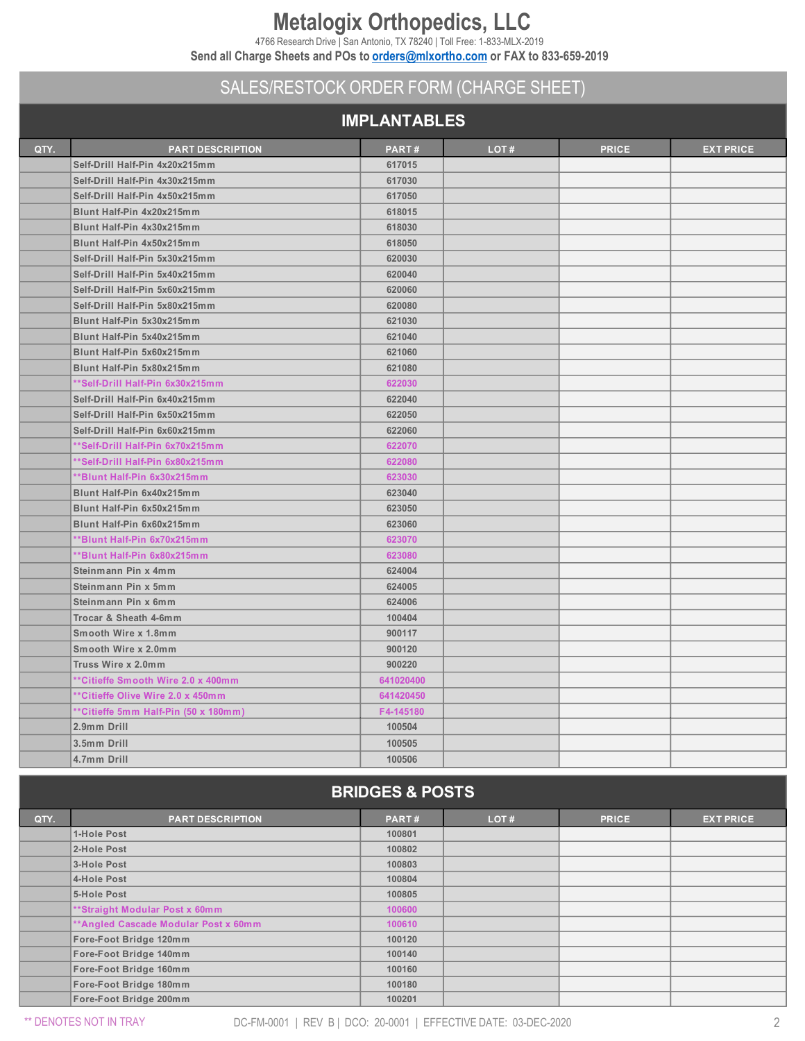# **Metalogix Orthopedics, LLC**

4766 Research Drive | San Antonio, TX 78240 | Toll Free: 1-833-MLX-2019

**Send all Charge Sheets and POs to [orders@mlxortho.com](mailto:orders@mlxortho.com) or FAX to 833-659-2019**

## SALES/RESTOCK ORDER FORM (CHARGE SHEET)

#### **IMPLANTABLES**

| QTY. | <b>PART DESCRIPTION</b>              | PART#     | LOT# | <b>PRICE</b> | <b>EXT PRICE</b> |  |  |  |
|------|--------------------------------------|-----------|------|--------------|------------------|--|--|--|
|      | Self-Drill Half-Pin 4x20x215mm       | 617015    |      |              |                  |  |  |  |
|      | Self-Drill Half-Pin 4x30x215mm       | 617030    |      |              |                  |  |  |  |
|      | Self-Drill Half-Pin 4x50x215mm       | 617050    |      |              |                  |  |  |  |
|      | Blunt Half-Pin 4x20x215mm            | 618015    |      |              |                  |  |  |  |
|      | Blunt Half-Pin 4x30x215mm            | 618030    |      |              |                  |  |  |  |
|      | Blunt Half-Pin 4x50x215mm            | 618050    |      |              |                  |  |  |  |
|      | Self-Drill Half-Pin 5x30x215mm       | 620030    |      |              |                  |  |  |  |
|      | Self-Drill Half-Pin 5x40x215mm       | 620040    |      |              |                  |  |  |  |
|      | Self-Drill Half-Pin 5x60x215mm       | 620060    |      |              |                  |  |  |  |
|      | Self-Drill Half-Pin 5x80x215mm       | 620080    |      |              |                  |  |  |  |
|      | Blunt Half-Pin 5x30x215mm            | 621030    |      |              |                  |  |  |  |
|      | Blunt Half-Pin 5x40x215mm            | 621040    |      |              |                  |  |  |  |
|      | Blunt Half-Pin 5x60x215mm            | 621060    |      |              |                  |  |  |  |
|      | Blunt Half-Pin 5x80x215mm            | 621080    |      |              |                  |  |  |  |
|      | **Self-Drill Half-Pin 6x30x215mm     | 622030    |      |              |                  |  |  |  |
|      | Self-Drill Half-Pin 6x40x215mm       | 622040    |      |              |                  |  |  |  |
|      | Self-Drill Half-Pin 6x50x215mm       | 622050    |      |              |                  |  |  |  |
|      | Self-Drill Half-Pin 6x60x215mm       | 622060    |      |              |                  |  |  |  |
|      | **Self-Drill Half-Pin 6x70x215mm     | 622070    |      |              |                  |  |  |  |
|      | **Self-Drill Half-Pin 6x80x215mm     | 622080    |      |              |                  |  |  |  |
|      | **Blunt Half-Pin 6x30x215mm          | 623030    |      |              |                  |  |  |  |
|      | Blunt Half-Pin 6x40x215mm            | 623040    |      |              |                  |  |  |  |
|      | Blunt Half-Pin 6x50x215mm            | 623050    |      |              |                  |  |  |  |
|      | Blunt Half-Pin 6x60x215mm            | 623060    |      |              |                  |  |  |  |
|      | **Blunt Half-Pin 6x70x215mm          | 623070    |      |              |                  |  |  |  |
|      | **Blunt Half-Pin 6x80x215mm          | 623080    |      |              |                  |  |  |  |
|      | Steinmann Pin x 4mm                  | 624004    |      |              |                  |  |  |  |
|      | Steinmann Pin x 5mm                  | 624005    |      |              |                  |  |  |  |
|      | Steinmann Pin x 6mm                  | 624006    |      |              |                  |  |  |  |
|      | Trocar & Sheath 4-6mm                | 100404    |      |              |                  |  |  |  |
|      | Smooth Wire x 1.8mm                  | 900117    |      |              |                  |  |  |  |
|      | Smooth Wire x 2.0mm                  | 900120    |      |              |                  |  |  |  |
|      | Truss Wire x 2.0mm                   | 900220    |      |              |                  |  |  |  |
|      | **Citieffe Smooth Wire 2.0 x 400mm   | 641020400 |      |              |                  |  |  |  |
|      | **Citieffe Olive Wire 2.0 x 450mm    | 641420450 |      |              |                  |  |  |  |
|      | **Citieffe 5mm Half-Pin (50 x 180mm) | F4-145180 |      |              |                  |  |  |  |
|      | 2.9mm Drill                          | 100504    |      |              |                  |  |  |  |
|      | 3.5mm Drill                          | 100505    |      |              |                  |  |  |  |
|      | 4.7mm Drill                          | 100506    |      |              |                  |  |  |  |
|      |                                      |           |      |              |                  |  |  |  |
|      | <b>BRIDGES &amp; POSTS</b>           |           |      |              |                  |  |  |  |

| QTY. | <b>PART DESCRIPTION</b>               | PART#  | LOT# | <b>PRICE</b> | <b>EXT PRICE</b> |
|------|---------------------------------------|--------|------|--------------|------------------|
|      | 1-Hole Post                           | 100801 |      |              |                  |
|      | 2-Hole Post                           | 100802 |      |              |                  |
|      | 3-Hole Post                           | 100803 |      |              |                  |
|      | 4-Hole Post                           | 100804 |      |              |                  |
|      | 5-Hole Post                           | 100805 |      |              |                  |
|      | **Straight Modular Post x 60mm        | 100600 |      |              |                  |
|      | ** Angled Cascade Modular Post x 60mm | 100610 |      |              |                  |
|      | Fore-Foot Bridge 120mm                | 100120 |      |              |                  |
|      | Fore-Foot Bridge 140mm                | 100140 |      |              |                  |
|      | Fore-Foot Bridge 160mm                | 100160 |      |              |                  |
|      | Fore-Foot Bridge 180mm                | 100180 |      |              |                  |
|      | Fore-Foot Bridge 200mm                | 100201 |      |              |                  |

\*\* DENOTES NOT IN TRAY DC-FM-0001 | REV B | DCO: 20-0001 | EFFECTIVE DATE: 03-DEC-2020 2